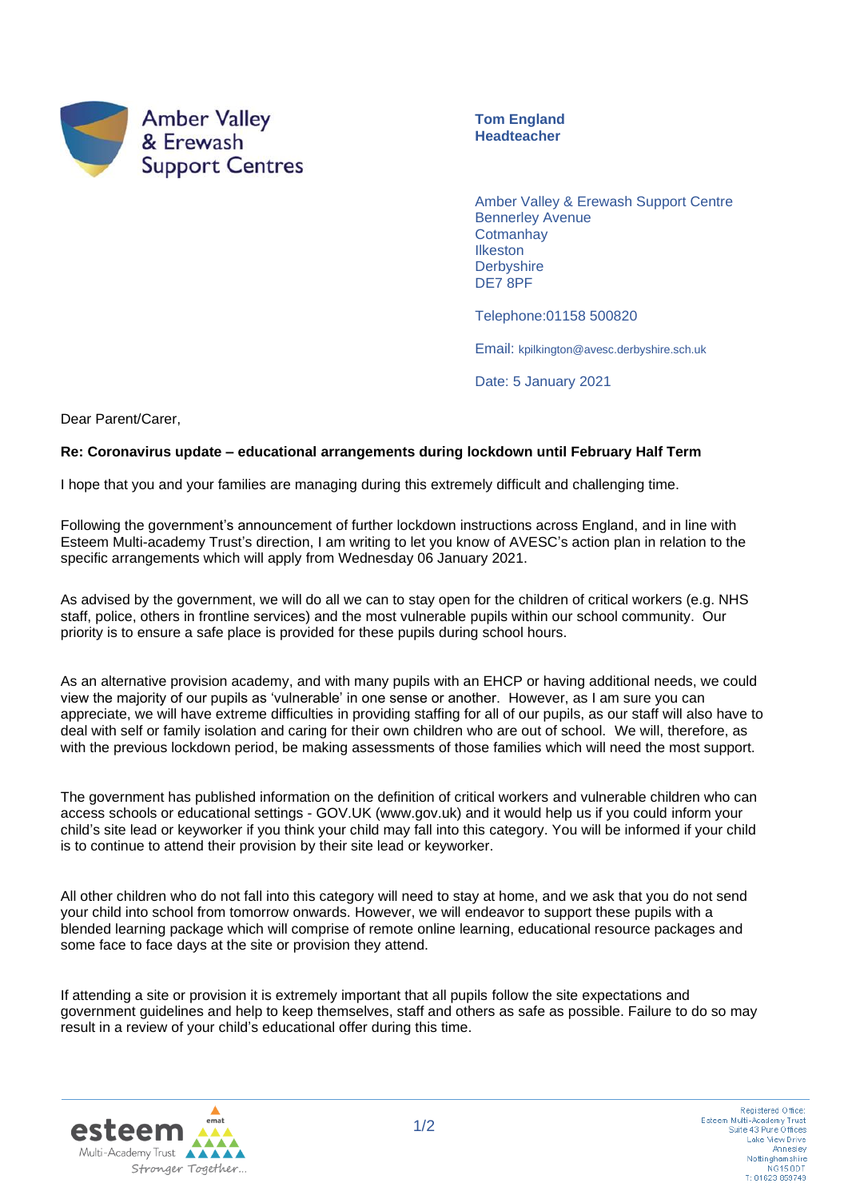

**Tom England Headteacher**

Amber Valley & Erewash Support Centre Bennerley Avenue **Cotmanhay** Ilkeston **Derbyshire** DE7 8PF

Telephone:01158 500820

Email: kpilkington@avesc.derbyshire.sch.uk

Date: 5 January 2021

Dear Parent/Carer,

## **Re: Coronavirus update – educational arrangements during lockdown until February Half Term**

I hope that you and your families are managing during this extremely difficult and challenging time.

Following the government's announcement of further lockdown instructions across England, and in line with Esteem Multi-academy Trust's direction, I am writing to let you know of AVESC's action plan in relation to the specific arrangements which will apply from Wednesday 06 January 2021.

As advised by the government, we will do all we can to stay open for the children of critical workers (e.g. NHS staff, police, others in frontline services) and the most vulnerable pupils within our school community. Our priority is to ensure a safe place is provided for these pupils during school hours.

As an alternative provision academy, and with many pupils with an EHCP or having additional needs, we could view the majority of our pupils as 'vulnerable' in one sense or another. However, as I am sure you can appreciate, we will have extreme difficulties in providing staffing for all of our pupils, as our staff will also have to deal with self or family isolation and caring for their own children who are out of school. We will, therefore, as with the previous lockdown period, be making assessments of those families which will need the most support.

The government has published information on the definition of critical workers and vulnerable children who can access schools or educational settings - GOV.UK (www.gov.uk) and it would help us if you could inform your child's site lead or keyworker if you think your child may fall into this category. You will be informed if your child is to continue to attend their provision by their site lead or keyworker.

All other children who do not fall into this category will need to stay at home, and we ask that you do not send your child into school from tomorrow onwards. However, we will endeavor to support these pupils with a blended learning package which will comprise of remote online learning, educational resource packages and some face to face days at the site or provision they attend.

If attending a site or provision it is extremely important that all pupils follow the site expectations and government guidelines and help to keep themselves, staff and others as safe as possible. Failure to do so may result in a review of your child's educational offer during this time.